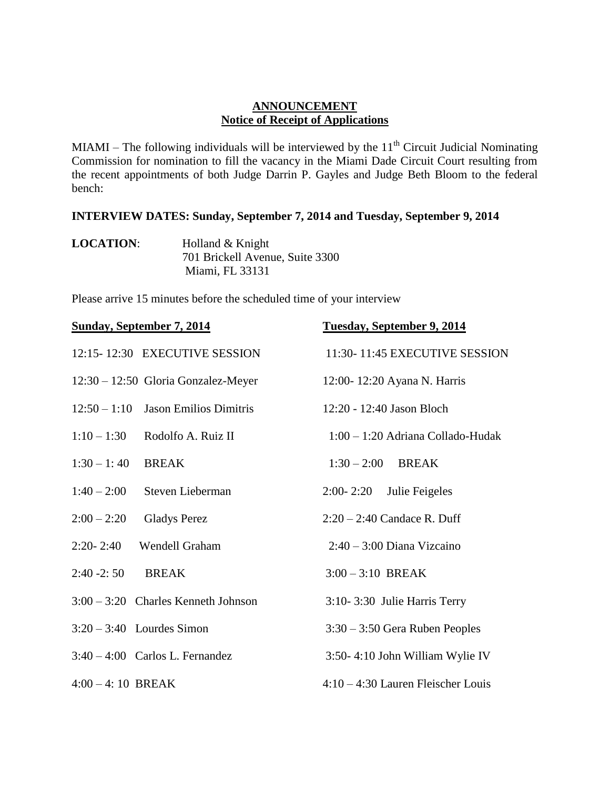## **ANNOUNCEMENT Notice of Receipt of Applications**

MIAMI – The following individuals will be interviewed by the  $11<sup>th</sup>$  Circuit Judicial Nominating Commission for nomination to fill the vacancy in the Miami Dade Circuit Court resulting from the recent appointments of both Judge Darrin P. Gayles and Judge Beth Bloom to the federal bench:

## **INTERVIEW DATES: Sunday, September 7, 2014 and Tuesday, September 9, 2014**

| <b>LOCATION:</b> | Holland & Knight                |
|------------------|---------------------------------|
|                  | 701 Brickell Avenue, Suite 3300 |
|                  | Miami, FL 33131                 |

Please arrive 15 minutes before the scheduled time of your interview

| <b>Sunday, September 7, 2014</b>                | <b>Tuesday, September 9, 2014</b>  |
|-------------------------------------------------|------------------------------------|
| 12:15-12:30 EXECUTIVE SESSION                   | 11:30-11:45 EXECUTIVE SESSION      |
| $12:30 - 12:50$ Gloria Gonzalez-Meyer           | 12:00-12:20 Ayana N. Harris        |
| $12:50 - 1:10$<br><b>Jason Emilios Dimitris</b> | 12:20 - 12:40 Jason Bloch          |
| $1:10 - 1:30$<br>Rodolfo A. Ruiz II             | 1:00 - 1:20 Adriana Collado-Hudak  |
| $1:30 - 1:40$<br><b>BREAK</b>                   | $1:30 - 2:00$ BREAK                |
| $1:40 - 2:00$<br>Steven Lieberman               | $2:00 - 2:20$<br>Julie Feigeles    |
| $2:00 - 2:20$<br><b>Gladys Perez</b>            | $2:20 - 2:40$ Candace R. Duff      |
| $2:20 - 2:40$<br>Wendell Graham                 | $2:40 - 3:00$ Diana Vizcaino       |
| $2:40 - 2:50$<br><b>BREAK</b>                   | $3:00 - 3:10$ BREAK                |
| $3:00 - 3:20$ Charles Kenneth Johnson           | 3:10-3:30 Julie Harris Terry       |
| $3:20-3:40$ Lourdes Simon                       | $3:30 - 3:50$ Gera Ruben Peoples   |
| $3:40-4:00$ Carlos L. Fernandez                 | 3:50-4:10 John William Wylie IV    |
| $4:00 - 4:10$ BREAK                             | 4:10 - 4:30 Lauren Fleischer Louis |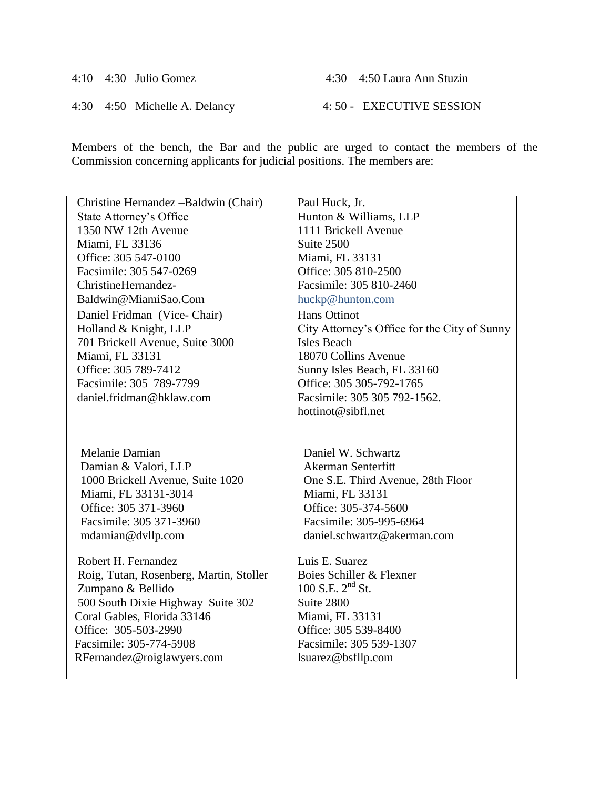| $4:10-4:30$ Julio Gomez         | $4:30 - 4:50$ Laura Ann Stuzin |
|---------------------------------|--------------------------------|
| $4:30-4:50$ Michelle A. Delancy | 4: 50 - EXECUTIVE SESSION      |

Members of the bench, the Bar and the public are urged to contact the members of the Commission concerning applicants for judicial positions. The members are:

| Christine Hernandez -Baldwin (Chair)    | Paul Huck, Jr.                               |
|-----------------------------------------|----------------------------------------------|
| <b>State Attorney's Office</b>          | Hunton & Williams, LLP                       |
| 1350 NW 12th Avenue                     | 1111 Brickell Avenue                         |
| Miami, FL 33136                         | Suite 2500                                   |
| Office: 305 547-0100                    | Miami, FL 33131                              |
| Facsimile: 305 547-0269                 | Office: 305 810-2500                         |
| ChristineHernandez-                     | Facsimile: 305 810-2460                      |
| Baldwin@MiamiSao.Com                    | huckp@hunton.com                             |
| Daniel Fridman (Vice-Chair)             | <b>Hans Ottinot</b>                          |
| Holland & Knight, LLP                   | City Attorney's Office for the City of Sunny |
| 701 Brickell Avenue, Suite 3000         | <b>Isles Beach</b>                           |
| Miami, FL 33131                         | 18070 Collins Avenue                         |
| Office: 305 789-7412                    | Sunny Isles Beach, FL 33160                  |
| Facsimile: 305 789-7799                 | Office: 305 305-792-1765                     |
| daniel.fridman@hklaw.com                | Facsimile: 305 305 792-1562.                 |
|                                         | hottinot@sibfl.net                           |
|                                         |                                              |
|                                         |                                              |
| Melanie Damian                          | Daniel W. Schwartz                           |
| Damian & Valori, LLP                    | <b>Akerman Senterfitt</b>                    |
| 1000 Brickell Avenue, Suite 1020        | One S.E. Third Avenue, 28th Floor            |
| Miami, FL 33131-3014                    | Miami, FL 33131                              |
| Office: 305 371-3960                    | Office: 305-374-5600                         |
| Facsimile: 305 371-3960                 | Facsimile: 305-995-6964                      |
| mdamian@dvllp.com                       | daniel.schwartz@akerman.com                  |
|                                         |                                              |
| Robert H. Fernandez                     | Luis E. Suarez                               |
| Roig, Tutan, Rosenberg, Martin, Stoller | Boies Schiller & Flexner                     |
| Zumpano & Bellido                       | 100 S.E. $2^{nd}$ St.                        |
| 500 South Dixie Highway Suite 302       | Suite 2800                                   |
| Coral Gables, Florida 33146             | Miami, FL 33131                              |
| Office: 305-503-2990                    | Office: 305 539-8400                         |
| Facsimile: 305-774-5908                 | Facsimile: 305 539-1307                      |
| RFernandez@roiglawyers.com              | lsuarez@bsfllp.com                           |
|                                         |                                              |